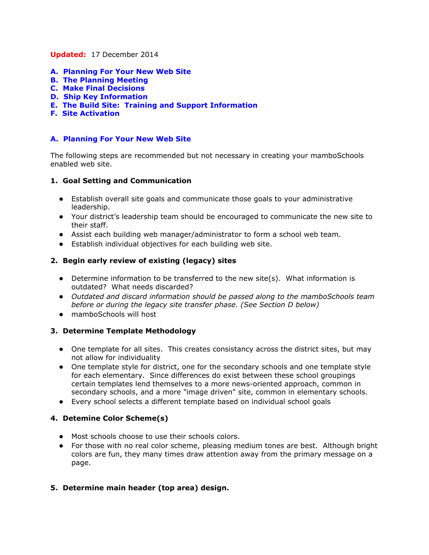#### **Updated:**17 December 2014

- **A. Planning For Your New Web Site**
- **B. The Planning Meeting**
- **C. Make Final Decisions**
- **D. Ship Key Information**
- **E. The Build Site: Training and Support Information**
- **F. Site Activation**

## **A. Planning For Your New Web Site**

The following steps are recommended but not necessary in creating your mamboSchools enabled web site.

#### **1. Goal Setting and Communication**

- Establish overall site goals and communicate those goals to your administrative leadership.
- Your district's leadership team should be encouraged to communicate the new site to their staff.
- Assist each building web manager/administrator to form a school web team.
- Establish individual objectives for each building web site.

### **2. Begin early review of existing (legacy) sites**

- Determine information to be transferred to the new site(s). What information is outdated? What needs discarded?
- *Outdated and discard information should be passed along to the mamboSchools team before or during the legacy site transfer phase. (See Section D below)*
- mamboSchools will host

# **3. Determine Template Methodology**

- One template for all sites. This creates consistancy across the district sites, but may not allow for individuality
- One template style for district, one for the secondary schools and one template style for each elementary. Since differences do exist between these school groupings certain templates lend themselves to a more news-oriented approach, common in secondary schools, and a more "image driven" site, common in elementary schools.
- Every school selects a different template based on individual school goals

# **4. Detemine Color Scheme(s)**

- Most schools choose to use their schools colors.
- For those with no real color scheme, pleasing medium tones are best. Although bright colors are fun, they many times draw attention away from the primary message on a page.

# **5. Determine main header (top area) design.**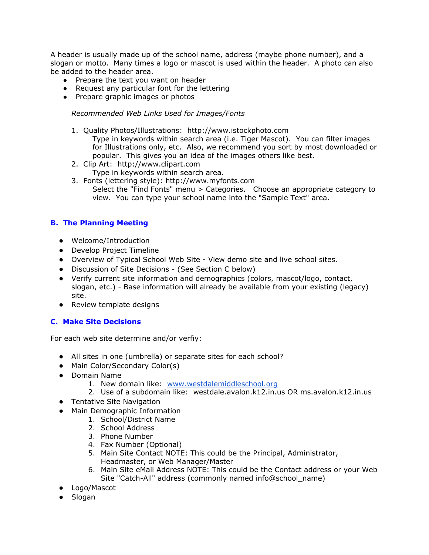A header is usually made up of the school name, address (maybe phone number), and a slogan or motto. Many times a logo or mascot is used within the header. A photo can also be added to the header area.

- Prepare the text you want on header
- Request any particular font for the lettering
- Prepare graphic images or photos

#### *Recommended Web Links Used for Images/Fonts*

- 1. Quality Photos/Illustrations: http://www.istockphoto.com Type in keywords within search area (i.e. Tiger Mascot). You can filter images for Illustrations only, etc. Also, we recommend you sort by most downloaded or popular. This gives you an idea of the images others like best.
- 2. Clip Art: http://www.clipart.com Type in keywords within search area.
- 3. Fonts (lettering style): http://www.myfonts.com Select the "Find Fonts" menu > Categories. Choose an appropriate category to view. You can type your school name into the "Sample Text" area.

### **B. The Planning Meeting**

- Welcome/Introduction
- Develop Project Timeline
- Overview of Typical School Web Site View demo site and live school sites.
- Discussion of Site Decisions (See Section C below)
- Verify current site information and demographics (colors, mascot/logo, contact, slogan, etc.) - Base information will already be available from your existing (legacy) site.
- Review template designs

#### **C. Make Site Decisions**

For each web site determine and/or verfiy:

- All sites in one (umbrella) or separate sites for each school?
- Main Color/Secondary Color(s)
- Domain Name
	- 1. New domain like: [www.westdalemiddleschool.org](http://www.westdaleschool.org/)
	- 2. Use of a subdomain like: westdale.avalon.k12.in.us OR ms.avalon.k12.in.us
- Tentative Site Navigation
- Main Demographic Information
	- 1. School/District Name
	- 2. School Address
	- 3. Phone Number
	- 4. Fax Number (Optional)
	- 5. Main Site Contact NOTE: This could be the Principal, Administrator, Headmaster, or Web Manager/Master
	- 6. Main Site eMail Address NOTE: This could be the Contact address or your Web Site "Catch-All" address (commonly named info@school\_name)
- Logo/Mascot
- Slogan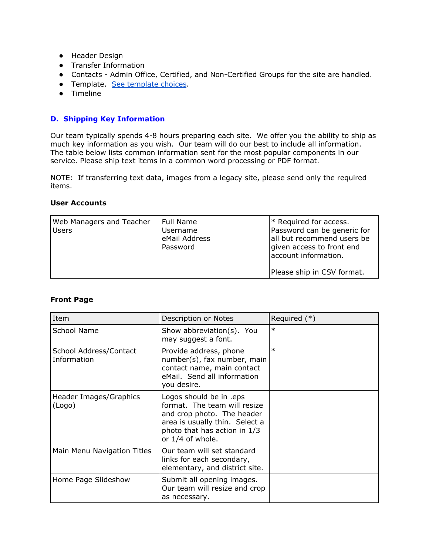- Header Design
- Transfer Information
- Contacts Admin Office, Certified, and Non-Certified Groups for the site are handled.
- Template. See [template](http://www5.mamboschools.com/planning/current-template-designs) choices.
- Timeline

#### **D. Shipping Key Information**

Our team typically spends 4-8 hours preparing each site. We offer you the ability to ship as much key information as you wish. Our team will do our best to include all information. The table below lists common information sent for the most popular components in our service. Please ship text items in a common word processing or PDF format.

NOTE: If transferring text data, images from a legacy site, please send only the required items.

#### **User Accounts**

| Web Managers and Teacher<br><b>Users</b> | Full Name<br>Username<br>eMail Address<br>Password | * Required for access.<br>Password can be generic for<br>all but recommend users be<br>given access to front end<br>account information. |
|------------------------------------------|----------------------------------------------------|------------------------------------------------------------------------------------------------------------------------------------------|
|                                          |                                                    | Please ship in CSV format.                                                                                                               |

#### **Front Page**

| Item                                  | Description or Notes                                                                                                                                                        | Required (*) |
|---------------------------------------|-----------------------------------------------------------------------------------------------------------------------------------------------------------------------------|--------------|
| School Name                           | Show abbreviation(s). You<br>may suggest a font.                                                                                                                            | $\ast$       |
| School Address/Contact<br>Information | Provide address, phone<br>number(s), fax number, main<br>contact name, main contact<br>eMail. Send all information<br>you desire.                                           | $\ast$       |
| Header Images/Graphics<br>(Logo)      | Logos should be in .eps<br>format. The team will resize<br>and crop photo. The header<br>area is usually thin. Select a<br>photo that has action in 1/3<br>or 1/4 of whole. |              |
| Main Menu Navigation Titles           | Our team will set standard<br>links for each secondary,<br>elementary, and district site.                                                                                   |              |
| Home Page Slideshow                   | Submit all opening images.<br>Our team will resize and crop<br>as necessary.                                                                                                |              |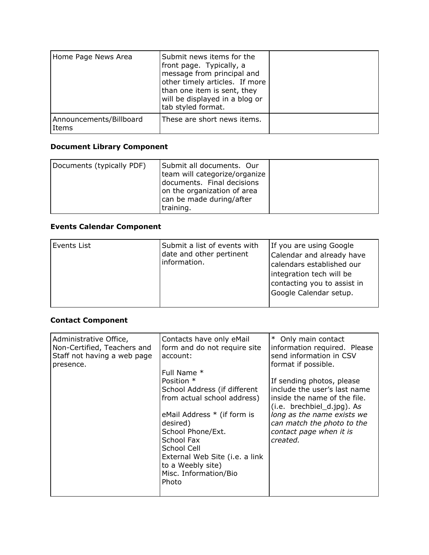| Home Page News Area              | Submit news items for the<br>front page. Typically, a<br>message from principal and<br>other timely articles. If more<br>than one item is sent, they<br>will be displayed in a blog or<br>tab styled format. |  |
|----------------------------------|--------------------------------------------------------------------------------------------------------------------------------------------------------------------------------------------------------------|--|
| Announcements/Billboard<br>Items | These are short news items.                                                                                                                                                                                  |  |

# **Document Library Component**

| Documents (typically PDF) | Submit all documents. Our<br>team will categorize/organize<br>documents. Final decisions<br>on the organization of area<br>can be made during/after |  |
|---------------------------|-----------------------------------------------------------------------------------------------------------------------------------------------------|--|
|                           | training.                                                                                                                                           |  |

# **Events Calendar Component**

| Events List | Submit a list of events with<br>date and other pertinent<br>information. | If you are using Google<br>Calendar and already have<br>calendars established our<br>integration tech will be<br>contacting you to assist in<br>Google Calendar setup. |
|-------------|--------------------------------------------------------------------------|------------------------------------------------------------------------------------------------------------------------------------------------------------------------|
|-------------|--------------------------------------------------------------------------|------------------------------------------------------------------------------------------------------------------------------------------------------------------------|

# **Contact Component**

| Administrative Office,<br>Non-Certified, Teachers and<br>Staff not having a web page<br>presence. | Contacts have only eMail<br>form and do not require site<br>account:<br>Full Name *<br>Position *<br>School Address (if different<br>from actual school address)<br>eMail Address * (if form is<br>desired)<br>School Phone/Ext.<br>School Fax<br>School Cell<br>External Web Site (i.e. a link<br>to a Weebly site)<br>Misc. Information/Bio<br>Photo | * Only main contact<br>information required. Please<br>send information in CSV<br>format if possible.<br>If sending photos, please<br>include the user's last name<br>inside the name of the file.<br>(i.e. brechbiel_d.jpg). As<br>long as the name exists we<br>can match the photo to the<br>contact page when it is<br>created. |
|---------------------------------------------------------------------------------------------------|--------------------------------------------------------------------------------------------------------------------------------------------------------------------------------------------------------------------------------------------------------------------------------------------------------------------------------------------------------|-------------------------------------------------------------------------------------------------------------------------------------------------------------------------------------------------------------------------------------------------------------------------------------------------------------------------------------|
|                                                                                                   |                                                                                                                                                                                                                                                                                                                                                        |                                                                                                                                                                                                                                                                                                                                     |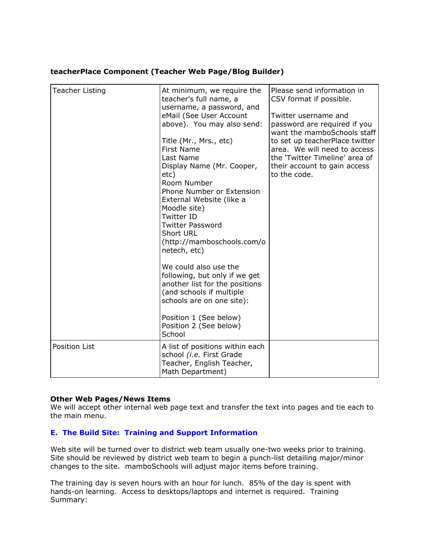### **teacherPlace Component (Teacher Web Page/Blog Builder)**

| <b>Teacher Listing</b> | At minimum, we require the<br>teacher's full name, a<br>username, a password, and<br>eMail (See User Account<br>above). You may also send:<br>Title (Mr., Mrs., etc)<br><b>First Name</b><br>Last Name<br>Display Name (Mr. Cooper,<br>etc)<br>Room Number<br>Phone Number or Extension<br>External Website (like a<br>Moodle site)<br><b>Twitter ID</b><br><b>Twitter Password</b><br><b>Short URL</b><br>(http://mamboschools.com/o<br>netech, etc)<br>We could also use the<br>following, but only if we get<br>another list for the positions<br>(and schools if multiple<br>schools are on one site):<br>Position 1 (See below)<br>Position 2 (See below)<br>School | Please send information in<br>CSV format if possible.<br>Twitter username and<br>password are required if you<br>want the mamboSchools staff<br>to set up teacherPlace twitter<br>area. We will need to access<br>the 'Twitter Timeline' area of<br>their account to gain access<br>to the code. |
|------------------------|--------------------------------------------------------------------------------------------------------------------------------------------------------------------------------------------------------------------------------------------------------------------------------------------------------------------------------------------------------------------------------------------------------------------------------------------------------------------------------------------------------------------------------------------------------------------------------------------------------------------------------------------------------------------------|--------------------------------------------------------------------------------------------------------------------------------------------------------------------------------------------------------------------------------------------------------------------------------------------------|
| <b>Position List</b>   | A list of positions within each<br>school (i.e. First Grade<br>Teacher, English Teacher,<br>Math Department)                                                                                                                                                                                                                                                                                                                                                                                                                                                                                                                                                             |                                                                                                                                                                                                                                                                                                  |

# **Other Web Pages/News Items**

We will accept other internal web page text and transfer the text into pages and tie each to the main menu.

#### **E. The Build Site: Training and Support Information**

Web site will be turned over to district web team usually one-two weeks prior to training. Site should be reviewed by district web team to begin a punch-list detailing major/minor changes to the site. mamboSchools will adjust major items before training.

The training day is seven hours with an hour for lunch. 85% of the day is spent with hands-on learning. Access to desktops/laptops and internet is required. Training Summary: